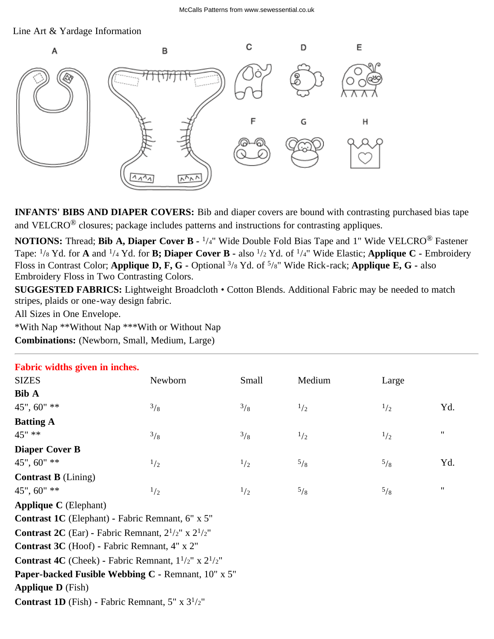## Line Art & Yardage Information



**INFANTS' BIBS AND DIAPER COVERS:** Bib and diaper covers are bound with contrasting purchased bias tape and VELCRO® closures; package includes patterns and instructions for contrasting appliques.

**NOTIONS:** Thread; **Bib A, Diaper Cover B -** 1/4" Wide Double Fold Bias Tape and 1" Wide VELCRO® Fastener Tape: 1/8 Yd. for **A** and 1/4 Yd. for **B; Diaper Cover B -** also 1/2 Yd. of 1/4" Wide Elastic; **Applique C -** Embroidery Floss in Contrast Color; **Applique D, F, G -** Optional 3/8 Yd. of 5/8" Wide Rick-rack; **Applique E, G -** also Embroidery Floss in Two Contrasting Colors.

**SUGGESTED FABRICS:** Lightweight Broadcloth • Cotton Blends. Additional Fabric may be needed to match stripes, plaids or one-way design fabric.

All Sizes in One Envelope.

\*With Nap \*\*Without Nap \*\*\*With or Without Nap

**Combinations:** (Newborn, Small, Medium, Large)

| Fabric widths given in inches.                                         |          |               |        |             |                    |  |  |  |  |
|------------------------------------------------------------------------|----------|---------------|--------|-------------|--------------------|--|--|--|--|
| <b>SIZES</b>                                                           | Newborn  | Small         | Medium | Large       |                    |  |  |  |  |
| <b>Bib A</b>                                                           |          |               |        |             |                    |  |  |  |  |
| 45", 60" **                                                            | 3/8      | $\frac{3}{8}$ | 1/2    | 1/2         | Yd.                |  |  |  |  |
| <b>Batting A</b>                                                       |          |               |        |             |                    |  |  |  |  |
| $45"$ **                                                               | 3/8      | $\frac{3}{8}$ | 1/2    | 1/2         | $\pmb{\mathsf{H}}$ |  |  |  |  |
| <b>Diaper Cover B</b>                                                  |          |               |        |             |                    |  |  |  |  |
| 45", 60" **                                                            | 1/2      | 1/2           | 5/8    | $^{5}/_{8}$ | Yd.                |  |  |  |  |
| <b>Contrast B</b> (Lining)                                             |          |               |        |             |                    |  |  |  |  |
| 45", 60" **                                                            | $^{1/2}$ | 1/2           | 5/8    | $^{5}/_8$   | $\pmb{\mathsf{H}}$ |  |  |  |  |
| <b>Applique C</b> (Elephant)                                           |          |               |        |             |                    |  |  |  |  |
| <b>Contrast 1C</b> (Elephant) - Fabric Remnant, 6" x 5"                |          |               |        |             |                    |  |  |  |  |
| <b>Contrast 2C</b> (Ear) - Fabric Remnant, $2^{1/2}$ " x $2^{1/2}$ "   |          |               |        |             |                    |  |  |  |  |
| Contrast 3C (Hoof) - Fabric Remnant, 4" x 2"                           |          |               |        |             |                    |  |  |  |  |
| <b>Contrast 4C</b> (Cheek) - Fabric Remnant, $1^{1/2}$ " x $2^{1/2}$ " |          |               |        |             |                    |  |  |  |  |
| Paper-backed Fusible Webbing C - Remnant, 10" x 5"                     |          |               |        |             |                    |  |  |  |  |
| <b>Applique D</b> (Fish)                                               |          |               |        |             |                    |  |  |  |  |
| <b>Contrast 1D</b> (Fish) - Fabric Remnant, $5'' \times 3^{1/2}$ "     |          |               |        |             |                    |  |  |  |  |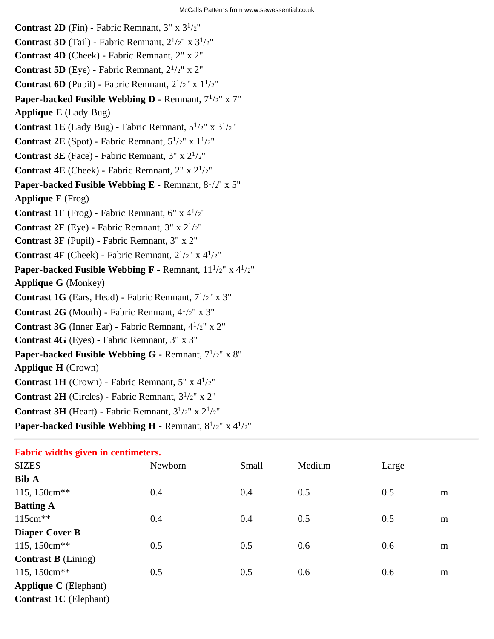**Contrast 2D** (Fin) **-** Fabric Remnant,  $3'' \times 3^{1/2}$ " **Contrast 3D** (Tail) **-** Fabric Remnant,  $2^{1/2}$ " x  $3^{1/2}$ " **Contrast 4D** (Cheek) **-** Fabric Remnant, 2" x 2" **Contrast 5D** (Eye) - Fabric Remnant,  $2^{1/2}$ " x 2" **Contrast 6D** (Pupil) **-** Fabric Remnant,  $2^{1/2}$ " x  $1^{1/2}$ " **Paper-backed Fusible Webbing D -** Remnant,  $7^{1/2}$ " x 7" **Applique E** (Lady Bug) **Contrast 1E** (Lady Bug) - Fabric Remnant,  $5^{1/2}$ " x  $3^{1/2}$ " **Contrast 2E** (Spot) **-** Fabric Remnant,  $5^{1/2}$ " x  $1^{1/2}$ " **Contrast 3E** (Face) **-** Fabric Remnant, 3" x 21/2" **Contrast 4E** (Cheek) **-** Fabric Remnant, 2" x 21/2" **Paper-backed Fusible Webbing E -** Remnant,  $8^{1/2}$ " x 5" **Applique F** (Frog) **Contrast 1F** (Frog) - Fabric Remnant,  $6'' \times 4^{1/2}$ " **Contrast 2F** (Eye) - Fabric Remnant,  $3'' \times 2^{1/2''}$ **Contrast 3F** (Pupil) **-** Fabric Remnant, 3" x 2" **Contrast 4F** (Cheek) **-** Fabric Remnant,  $2^{1/2}$ " x  $4^{1/2}$ " **Paper-backed Fusible Webbing F -** Remnant,  $11^{1/2}$ " x  $4^{1/2}$ " **Applique G** (Monkey) **Contrast 1G** (Ears, Head) **-** Fabric Remnant, 71/2" x 3" **Contrast 2G** (Mouth) **-** Fabric Remnant, 41/2" x 3" **Contrast 3G** (Inner Ear) **-** Fabric Remnant, 41/2" x 2" **Contrast 4G** (Eyes) **-** Fabric Remnant, 3" x 3" Paper-backed Fusible Webbing G - Remnant,  $7^{1}/2"$  x 8" **Applique H** (Crown) **Contrast 1H** (Crown) **-** Fabric Remnant, 5" x 41/2" **Contrast 2H** (Circles) **-** Fabric Remnant, 31/2" x 2" **Contrast 3H** (Heart) **-** Fabric Remnant,  $3^{1/2}$ " x  $2^{1/2}$ " **Paper-backed Fusible Webbing H -** Remnant, 81/2" x 41/2"

| Fabric widths given in centimeters. |         |       |        |       |   |  |  |
|-------------------------------------|---------|-------|--------|-------|---|--|--|
| <b>SIZES</b>                        | Newborn | Small | Medium | Large |   |  |  |
| <b>Bib A</b>                        |         |       |        |       |   |  |  |
| 115, 150cm <sup>**</sup>            | 0.4     | 0.4   | 0.5    | 0.5   | m |  |  |
| <b>Batting A</b>                    |         |       |        |       |   |  |  |
| $115cm**$                           | 0.4     | 0.4   | 0.5    | 0.5   | m |  |  |
| <b>Diaper Cover B</b>               |         |       |        |       |   |  |  |
| 115, 150cm <sup>**</sup>            | 0.5     | 0.5   | 0.6    | 0.6   | m |  |  |
| <b>Contrast B</b> (Lining)          |         |       |        |       |   |  |  |
| 115, 150cm <sup>**</sup>            | 0.5     | 0.5   | 0.6    | 0.6   | m |  |  |
| <b>Applique C</b> (Elephant)        |         |       |        |       |   |  |  |
| <b>Contrast 1C</b> (Elephant)       |         |       |        |       |   |  |  |